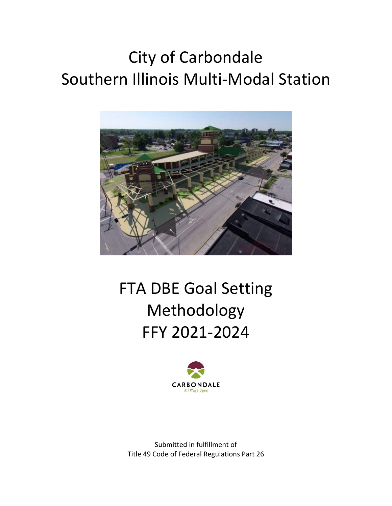# City of Carbondale Southern Illinois Multi-Modal Station



## FTA DBE Goal Setting Methodology FFY 2021-2024



Submitted in fulfillment of Title 49 Code of Federal Regulations Part 26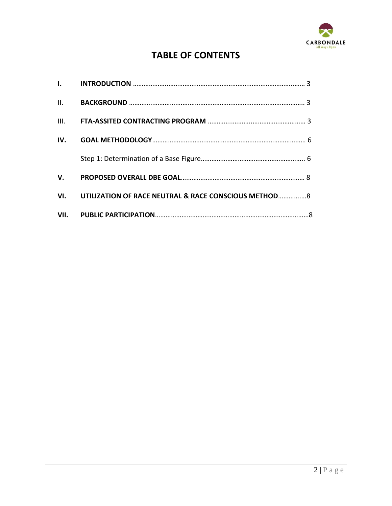

### **TABLE OF CONTENTS**

| III. |                                                           |  |
|------|-----------------------------------------------------------|--|
| IV.  |                                                           |  |
|      |                                                           |  |
| V.   |                                                           |  |
|      | VI. UTILIZATION OF RACE NEUTRAL & RACE CONSCIOUS METHOD 8 |  |
|      |                                                           |  |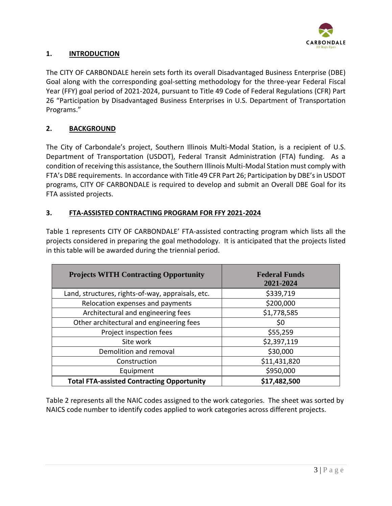

#### **1. INTRODUCTION**

The CITY OF CARBONDALE herein sets forth its overall Disadvantaged Business Enterprise (DBE) Goal along with the corresponding goal-setting methodology for the three-year Federal Fiscal Year (FFY) goal period of 2021-2024, pursuant to Title 49 Code of Federal Regulations (CFR) Part 26 "Participation by Disadvantaged Business Enterprises in U.S. Department of Transportation Programs."

#### **2. BACKGROUND**

The City of Carbondale's project, Southern Illinois Multi-Modal Station, is a recipient of U.S. Department of Transportation (USDOT), Federal Transit Administration (FTA) funding. As a condition of receiving this assistance, the Southern Illinois Multi-Modal Station must comply with FTA's DBE requirements. In accordance with Title 49 CFR Part 26; Participation by DBE's in USDOT programs, CITY OF CARBONDALE is required to develop and submit an Overall DBE Goal for its FTA assisted projects.

#### **3. FTA-ASSISTED CONTRACTING PROGRAM FOR FFY 2021-2024**

Table 1 represents CITY OF CARBONDALE' FTA-assisted contracting program which lists all the projects considered in preparing the goal methodology. It is anticipated that the projects listed in this table will be awarded during the triennial period.

| <b>Projects WITH Contracting Opportunity</b>      | <b>Federal Funds</b><br>2021-2024 |
|---------------------------------------------------|-----------------------------------|
| Land, structures, rights-of-way, appraisals, etc. | \$339,719                         |
| Relocation expenses and payments                  | \$200,000                         |
| Architectural and engineering fees                | \$1,778,585                       |
| Other architectural and engineering fees          | \$0                               |
| Project inspection fees                           | \$55,259                          |
| Site work                                         | \$2,397,119                       |
| Demolition and removal                            | \$30,000                          |
| Construction                                      | \$11,431,820                      |
| Equipment                                         | \$950,000                         |
| <b>Total FTA-assisted Contracting Opportunity</b> | \$17,482,500                      |

Table 2 represents all the NAIC codes assigned to the work categories. The sheet was sorted by NAICS code number to identify codes applied to work categories across different projects.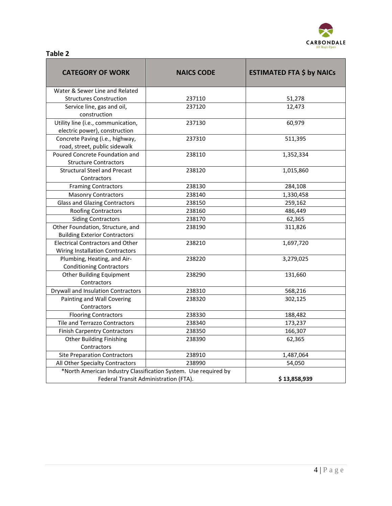

| aple |  |
|------|--|
|------|--|

| <b>CATEGORY OF WORK</b>                                                    | <b>NAICS CODE</b>                                               | <b>ESTIMATED FTA \$ by NAICs</b> |  |  |
|----------------------------------------------------------------------------|-----------------------------------------------------------------|----------------------------------|--|--|
| Water & Sewer Line and Related                                             |                                                                 |                                  |  |  |
| <b>Structures Construction</b>                                             | 237110                                                          | 51,278                           |  |  |
| Service line, gas and oil,<br>construction                                 | 237120                                                          | 12,473                           |  |  |
| Utility line (i.e., communication,<br>electric power), construction        | 237130                                                          | 60,979                           |  |  |
| Concrete Paving (i.e., highway,<br>road, street, public sidewalk           | 237310                                                          | 511,395                          |  |  |
| Poured Concrete Foundation and<br><b>Structure Contractors</b>             | 238110                                                          | 1,352,334                        |  |  |
| <b>Structural Steel and Precast</b><br>Contractors                         | 238120                                                          | 1,015,860                        |  |  |
| <b>Framing Contractors</b>                                                 | 238130                                                          | 284,108                          |  |  |
| <b>Masonry Contractors</b>                                                 | 238140                                                          | 1,330,458                        |  |  |
| <b>Glass and Glazing Contractors</b>                                       | 238150                                                          | 259,162                          |  |  |
| <b>Roofing Contractors</b>                                                 | 238160                                                          | 486,449                          |  |  |
| <b>Siding Contractors</b>                                                  | 238170                                                          | 62,365                           |  |  |
| Other Foundation, Structure, and<br><b>Building Exterior Contractors</b>   | 238190                                                          | 311,826                          |  |  |
| <b>Electrical Contractors and Other</b><br>Wiring Installation Contractors | 238210                                                          | 1,697,720                        |  |  |
| Plumbing, Heating, and Air-<br><b>Conditioning Contractors</b>             | 238220                                                          | 3,279,025                        |  |  |
| <b>Other Building Equipment</b><br>Contractors                             | 238290                                                          | 131,660                          |  |  |
| Drywall and Insulation Contractors                                         | 238310                                                          | 568,216                          |  |  |
| Painting and Wall Covering<br>Contractors                                  | 238320                                                          | 302,125                          |  |  |
| <b>Flooring Contractors</b>                                                | 238330                                                          | 188,482                          |  |  |
| <b>Tile and Terrazzo Contractors</b>                                       | 238340                                                          | 173,237                          |  |  |
| <b>Finish Carpentry Contractors</b>                                        | 238350                                                          | 166,307                          |  |  |
| <b>Other Building Finishing</b>                                            | 238390                                                          | 62,365                           |  |  |
| Contractors                                                                |                                                                 |                                  |  |  |
| <b>Site Preparation Contractors</b>                                        | 238910                                                          | 1,487,064                        |  |  |
| All Other Specialty Contractors                                            | 238990                                                          | 54,050                           |  |  |
| Federal Transit Administration (FTA).                                      | *North American Industry Classification System. Use required by | \$13,858,939                     |  |  |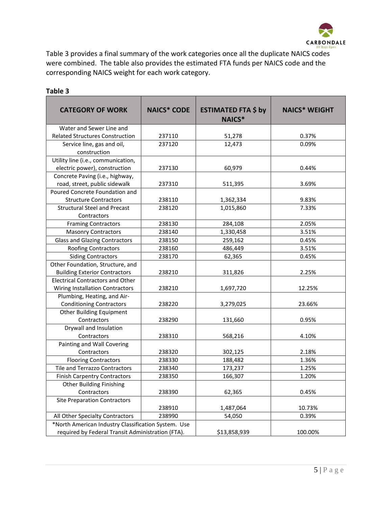

Table 3 provides a final summary of the work categories once all the duplicate NAICS codes were combined. The table also provides the estimated FTA funds per NAICS code and the corresponding NAICS weight for each work category.

| <b>CATEGORY OF WORK</b>                             | <b>NAICS* CODE</b> | <b>ESTIMATED FTA \$ by</b> | <b>NAICS* WEIGHT</b> |
|-----------------------------------------------------|--------------------|----------------------------|----------------------|
|                                                     |                    | <b>NAICS*</b>              |                      |
| Water and Sewer Line and                            |                    |                            |                      |
| <b>Related Structures Construction</b>              | 237110             | 51,278                     | 0.37%                |
| Service line, gas and oil,                          | 237120             | 12,473                     | 0.09%                |
| construction                                        |                    |                            |                      |
| Utility line (i.e., communication,                  |                    |                            |                      |
| electric power), construction                       | 237130             | 60,979                     | 0.44%                |
| Concrete Paving (i.e., highway,                     |                    |                            |                      |
| road, street, public sidewalk                       | 237310             | 511,395                    | 3.69%                |
| Poured Concrete Foundation and                      |                    |                            |                      |
| <b>Structure Contractors</b>                        | 238110             | 1,362,334                  | 9.83%                |
| <b>Structural Steel and Precast</b>                 | 238120             | 1,015,860                  | 7.33%                |
| Contractors                                         |                    |                            |                      |
| <b>Framing Contractors</b>                          | 238130             | 284,108                    | 2.05%                |
| <b>Masonry Contractors</b>                          | 238140             | 1,330,458                  | 3.51%                |
| <b>Glass and Glazing Contractors</b>                | 238150             | 259,162                    | 0.45%                |
| <b>Roofing Contractors</b>                          | 238160             | 486,449                    | 3.51%                |
| <b>Siding Contractors</b>                           | 238170             | 62,365                     | 0.45%                |
| Other Foundation, Structure, and                    |                    |                            |                      |
| <b>Building Exterior Contractors</b>                | 238210             | 311,826                    | 2.25%                |
| <b>Electrical Contractors and Other</b>             |                    |                            |                      |
| Wiring Installation Contractors                     | 238210             | 1,697,720                  | 12.25%               |
| Plumbing, Heating, and Air-                         |                    |                            |                      |
| <b>Conditioning Contractors</b>                     | 238220             | 3,279,025                  | 23.66%               |
| <b>Other Building Equipment</b>                     |                    |                            |                      |
| Contractors                                         | 238290             | 131,660                    | 0.95%                |
| Drywall and Insulation                              |                    |                            |                      |
| Contractors                                         | 238310             | 568,216                    | 4.10%                |
| Painting and Wall Covering                          |                    |                            |                      |
| Contractors                                         | 238320             | 302,125                    | 2.18%                |
| <b>Flooring Contractors</b>                         | 238330             | 188,482                    | 1.36%                |
| Tile and Terrazzo Contractors                       | 238340             | 173,237                    | 1.25%                |
| <b>Finish Carpentry Contractors</b>                 | 238350             | 166,307                    | 1.20%                |
| <b>Other Building Finishing</b>                     |                    |                            |                      |
| Contractors                                         | 238390             | 62,365                     | 0.45%                |
| <b>Site Preparation Contractors</b>                 |                    |                            |                      |
|                                                     | 238910             | 1,487,064                  | 10.73%               |
| All Other Specialty Contractors                     | 238990             | 54,050                     | 0.39%                |
| *North American Industry Classification System. Use |                    |                            |                      |
| required by Federal Transit Administration (FTA).   |                    | \$13,858,939               | 100.00%              |

#### **Table 3**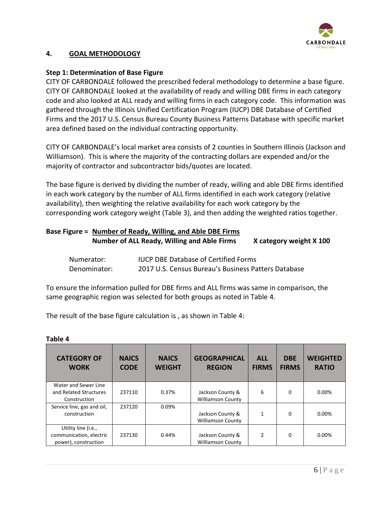

#### **4. GOAL METHODOLOGY**

#### **Step 1: Determination of Base Figure**

CITY OF CARBONDALE followed the prescribed federal methodology to determine a base figure. CITY OF CARBONDALE looked at the availability of ready and willing DBE firms in each category code and also looked at ALL ready and willing firms in each category code. This information was gathered through the Illinois Unified Certification Program (IUCP) DBE Database of Certified Firms and the 2017 U.S. Census Bureau County Business Patterns Database with specific market area defined based on the individual contracting opportunity.

CITY OF CARBONDALE's local market area consists of 2 counties in Southern Illinois (Jackson and Williamson). This is where the majority of the contracting dollars are expended and/or the majority of contractor and subcontractor bids/quotes are located.

The base figure is derived by dividing the number of ready, willing and able DBE firms identified in each work category by the number of ALL firms identified in each work category (relative availability), then weighting the relative availability for each work category by the corresponding work category weight (Table 3), and then adding the weighted ratios together.

### **Base Figure = Number of Ready, Willing, and Able DBE Firms**

| Number of ALL Ready, Willing and Able Firms | X category weight X 100 |
|---------------------------------------------|-------------------------|
|                                             |                         |

| Numerator:   | <b>IUCP DBE Database of Certified Forms</b>         |
|--------------|-----------------------------------------------------|
| Denominator: | 2017 U.S. Census Bureau's Business Patters Database |

To ensure the information pulled for DBE firms and ALL firms was same in comparison, the same geographic region was selected for both groups as noted in Table 4.

The result of the base figure calculation is , as shown in Table 4:

#### **Table 4**

| <b>CATEGORY OF</b><br><b>WORK</b>                                      | <b>NAICS</b><br><b>CODE</b> | <b>NAICS</b><br><b>WEIGHT</b> | <b>GEOGRAPHICAL</b><br><b>REGION</b>         | <b>ALL</b><br><b>FIRMS</b> | <b>DBE</b><br><b>FIRMS</b> | <b>WEIGHTED</b><br><b>RATIO</b> |
|------------------------------------------------------------------------|-----------------------------|-------------------------------|----------------------------------------------|----------------------------|----------------------------|---------------------------------|
| Water and Sewer Line<br>and Related Structures<br>Construction         | 237110                      | 0.37%                         | Jackson County &<br><b>Williamson County</b> | 6                          | $\Omega$                   | 0.00%                           |
| Service line, gas and oil,<br>construction                             | 237120                      | 0.09%                         | Jackson County &<br><b>Williamson County</b> | 1                          | $\Omega$                   | $0.00\%$                        |
| Utility line (i.e.,<br>communication, electric<br>power), construction | 237130                      | 0.44%                         | Jackson County &<br><b>Williamson County</b> | $\mathfrak z$              | $\Omega$                   | $0.00\%$                        |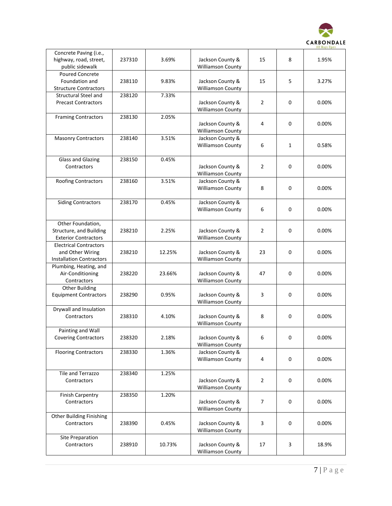

| Concrete Paving (i.e.,<br>highway, road, street,<br>public sidewalk                  | 237310 | 3.69%  | Jackson County &<br><b>Williamson County</b> | 15             | 8            | 1.95% |
|--------------------------------------------------------------------------------------|--------|--------|----------------------------------------------|----------------|--------------|-------|
| <b>Poured Concrete</b><br>Foundation and<br><b>Structure Contractors</b>             | 238110 | 9.83%  | Jackson County &<br><b>Williamson County</b> | 15             | 5            | 3.27% |
| <b>Structural Steel and</b><br><b>Precast Contractors</b>                            | 238120 | 7.33%  | Jackson County &<br><b>Williamson County</b> | 2              | 0            | 0.00% |
| <b>Framing Contractors</b>                                                           | 238130 | 2.05%  | Jackson County &<br><b>Williamson County</b> | 4              | 0            | 0.00% |
| <b>Masonry Contractors</b>                                                           | 238140 | 3.51%  | Jackson County &<br>Williamson County        | 6              | $\mathbf{1}$ | 0.58% |
| <b>Glass and Glazing</b><br>Contractors                                              | 238150 | 0.45%  | Jackson County &<br><b>Williamson County</b> | $\overline{2}$ | 0            | 0.00% |
| Roofing Contractors                                                                  | 238160 | 3.51%  | Jackson County &<br><b>Williamson County</b> | 8              | 0            | 0.00% |
| <b>Siding Contractors</b>                                                            | 238170 | 0.45%  | Jackson County &<br><b>Williamson County</b> | 6              | 0            | 0.00% |
| Other Foundation,<br>Structure, and Building<br><b>Exterior Contractors</b>          | 238210 | 2.25%  | Jackson County &<br><b>Williamson County</b> | $\overline{2}$ | 0            | 0.00% |
| <b>Electrical Contractors</b><br>and Other Wiring<br><b>Installation Contractors</b> | 238210 | 12.25% | Jackson County &<br><b>Williamson County</b> | 23             | 0            | 0.00% |
| Plumbing, Heating, and<br>Air-Conditioning<br>Contractors                            | 238220 | 23.66% | Jackson County &<br><b>Williamson County</b> | 47             | 0            | 0.00% |
| <b>Other Building</b><br><b>Equipment Contractors</b>                                | 238290 | 0.95%  | Jackson County &<br><b>Williamson County</b> | 3              | 0            | 0.00% |
| Drywall and Insulation<br>Contractors                                                | 238310 | 4.10%  | Jackson County &<br><b>Williamson County</b> | 8              | $\mathsf 0$  | 0.00% |
| Painting and Wall<br><b>Covering Contractors</b>                                     | 238320 | 2.18%  | Jackson County &<br><b>Williamson County</b> | 6              | $\pmb{0}$    | 0.00% |
| <b>Flooring Contractors</b>                                                          | 238330 | 1.36%  | Jackson County &<br><b>Williamson County</b> | 4              | 0            | 0.00% |
| Tile and Terrazzo<br>Contractors                                                     | 238340 | 1.25%  | Jackson County &<br><b>Williamson County</b> | $\overline{2}$ | 0            | 0.00% |
| <b>Finish Carpentry</b><br>Contractors                                               | 238350 | 1.20%  | Jackson County &<br>Williamson County        | 7              | 0            | 0.00% |
| <b>Other Building Finishing</b><br>Contractors                                       | 238390 | 0.45%  | Jackson County &<br><b>Williamson County</b> | 3              | $\mathsf 0$  | 0.00% |
| Site Preparation<br>Contractors                                                      | 238910 | 10.73% | Jackson County &<br><b>Williamson County</b> | 17             | 3            | 18.9% |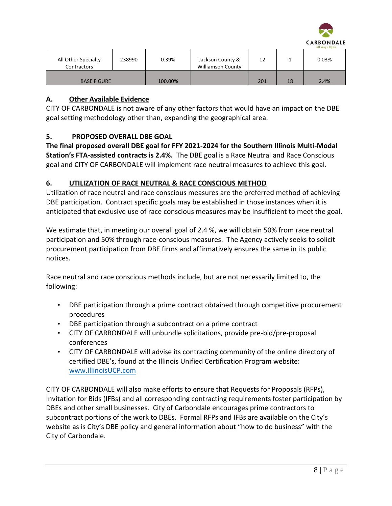

| All Other Specialty<br>Contractors | 238990 | 0.39%   | Jackson County &<br><b>Williamson County</b> | 12  |    | 0.03% |
|------------------------------------|--------|---------|----------------------------------------------|-----|----|-------|
| <b>BASE FIGURE</b>                 |        | 100.00% |                                              | 201 | 18 | 2.4%  |

#### **A. Other Available Evidence**

CITY OF CARBONDALE is not aware of any other factors that would have an impact on the DBE goal setting methodology other than, expanding the geographical area.

#### **5. PROPOSED OVERALL DBE GOAL**

**The final proposed overall DBE goal for FFY 2021-2024 for the Southern Illinois Multi-Modal Station's FTA-assisted contracts is 2.4%.** The DBE goal is a Race Neutral and Race Conscious goal and CITY OF CARBONDALE will implement race neutral measures to achieve this goal.

#### **6. UTILIZATION OF RACE NEUTRAL & RACE CONSCIOUS METHOD**

Utilization of race neutral and race conscious measures are the preferred method of achieving DBE participation. Contract specific goals may be established in those instances when it is anticipated that exclusive use of race conscious measures may be insufficient to meet the goal.

We estimate that, in meeting our overall goal of 2.4 %, we will obtain 50% from race neutral participation and 50% through race-conscious measures. The Agency actively seeks to solicit procurement participation from DBE firms and affirmatively ensures the same in its public notices.

Race neutral and race conscious methods include, but are not necessarily limited to, the following:

- DBE participation through a prime contract obtained through competitive procurement procedures
- DBE participation through a subcontract on a prime contract
- CITY OF CARBONDALE will unbundle solicitations, provide pre-bid/pre-proposal conferences
- CITY OF CARBONDALE will advise its contracting community of the online directory of certified DBE's, found at the Illinois Unified Certification Program website: [www.IllinoisUCP.com](http://www.illinoisucp.com/)

CITY OF CARBONDALE will also make efforts to ensure that Requests for Proposals (RFPs), Invitation for Bids (IFBs) and all corresponding contracting requirements foster participation by DBEs and other small businesses. City of Carbondale encourages prime contractors to subcontract portions of the work to DBEs. Formal RFPs and IFBs are available on the City's website as is City's DBE policy and general information about "how to do business" with the City of Carbondale.